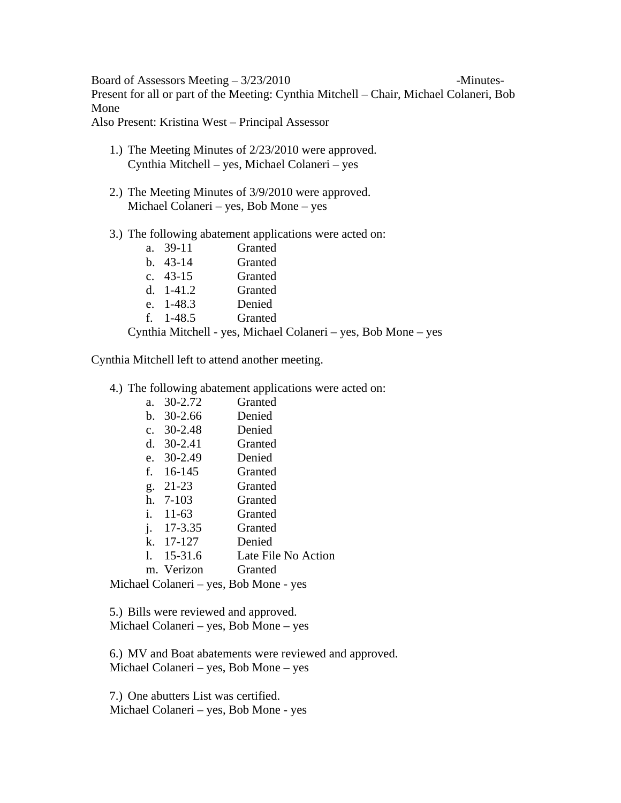Board of Assessors Meeting  $-3/23/2010$  -Minutes-Present for all or part of the Meeting: Cynthia Mitchell – Chair, Michael Colaneri, Bob Mone

Also Present: Kristina West – Principal Assessor

- 1.) The Meeting Minutes of 2/23/2010 were approved. Cynthia Mitchell – yes, Michael Colaneri – yes
- 2.) The Meeting Minutes of 3/9/2010 were approved. Michael Colaneri – yes, Bob Mone – yes
- 3.) The following abatement applications were acted on:

|  | a. 39-11   | Granted |
|--|------------|---------|
|  | b. $43-14$ | Granted |
|  | c. 43-15   | Granted |
|  | d. 1-41.2  | Granted |
|  | e. 1-48.3  | Denied  |
|  | f. 1-48.5  | Granted |
|  |            |         |

Cynthia Mitchell - yes, Michael Colaneri – yes, Bob Mone – yes

Cynthia Mitchell left to attend another meeting.

4.) The following abatement applications were acted on:

| а. | $30 - 2.72$        | Granted                           |
|----|--------------------|-----------------------------------|
|    | b. $30-2.66$       | Denied                            |
|    | c. $30-2.48$       | Denied                            |
|    | d. $30-2.41$       | Granted                           |
|    | e. $30-2.49$       | Denied                            |
|    | f. $16-145$        | Granted                           |
|    | g. 21-23           | Granted                           |
|    | h. 7-103           | Granted                           |
|    | i. $11-63$         | Granted                           |
|    | i. $17-3.35$       | Granted                           |
|    | k. 17-127          | Denied                            |
|    | $1. \quad 15-31.6$ | Late File No Action               |
|    | m. Verizon         | Granted                           |
|    |                    | el Colaneri – ves. Rob Mone – ves |

Michael Colaneri – yes, Bob Mone - yes

5.) Bills were reviewed and approved. Michael Colaneri – yes, Bob Mone – yes

6.) MV and Boat abatements were reviewed and approved. Michael Colaneri – yes, Bob Mone – yes

7.) One abutters List was certified. Michael Colaneri – yes, Bob Mone - yes